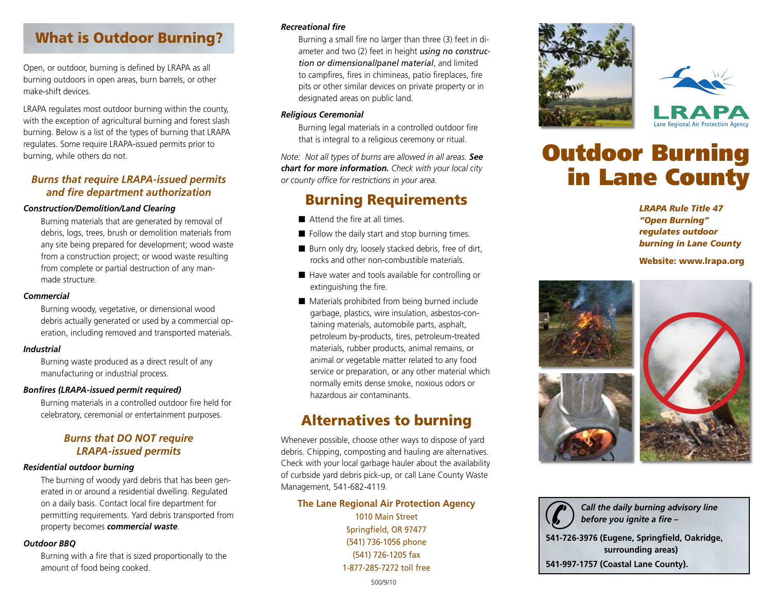# What is Outdoor Burning?

Open, or outdoor, burning is defined by LRAPA as all burning outdoors in open areas, burn barrels, or other make-shift devices.

LRAPA regulates most outdoor burning within the county, with the exception of agricultural burning and forest slash burning. Below is a list of the types of burning that LRAPA regulates. Some require LRAPA-issued permits prior to burning, while others do not.

### *Burns that require LRAPA-issued permits and fire department authorization*

#### *Construction/Demolition/Land Clearing*

Burning materials that are generated by removal of debris, logs, trees, brush or demolition materials from any site being prepared for development; wood waste from a construction project; or wood waste resulting from complete or partial destruction of any manmade structure.

#### *Commercial*

Burning woody, vegetative, or dimensional wood debris actually generated or used by a commercial operation, including removed and transported materials.

#### *Industrial*

Burning waste produced as a direct result of any manufacturing or industrial process.

#### *Bonfires (LRAPA-issued permit required)*

Burning materials in a controlled outdoor fire held for celebratory, ceremonial or entertainment purposes.

## *Burns that DO NOT require LRAPA-issued permits*

#### *Residential outdoor burning*

The burning of woody yard debris that has been generated in or around a residential dwelling. Regulated on a daily basis. Contact local fire department for permitting requirements. Yard debris transported from property becomes *commercial waste*.

#### *Outdoor BBQ*

Burning with a fire that is sized proportionally to the amount of food being cooked.

#### *Recreational fire*

Burning a small fire no larger than three (3) feet in diameter and two (2) feet in height *using no construction or dimensional/panel material*, and limited to campfires, fires in chimineas, patio fireplaces, fire pits or other similar devices on private property or in designated areas on public land.

#### *Religious Ceremonial*

Burning legal materials in a controlled outdoor fire that is integral to a religious ceremony or ritual.

*Note: Not all types of burns are allowed in all areas. See chart for more information. Check with your local city or county office for restrictions in your area.*

## Burning Requirements

- $\blacksquare$  Attend the fire at all times.
- $\blacksquare$  Follow the daily start and stop burning times.
- Burn only dry, loosely stacked debris, free of dirt, rocks and other non-combustible materials.
- Have water and tools available for controlling or extinguishing the fire.
- $\blacksquare$  Materials prohibited from being burned include garbage, plastics, wire insulation, asbestos-containing materials, automobile parts, asphalt, petroleum by-products, tires, petroleum-treated materials, rubber products, animal remains, or animal or vegetable matter related to any food service or preparation, or any other material which normally emits dense smoke, noxious odors or hazardous air contaminants.

## Alternatives to burning

Whenever possible, choose other ways to dispose of yard debris. Chipping, composting and hauling are alternatives. Check with your local garbage hauler about the availability of curbside yard debris pick-up, or call Lane County Waste Management, 541-682-4119.

#### **The Lane Regional Air Protection Agency**

1010 Main Street Springfield, OR 97477 (541) 736-1056 phone (541) 726-1205 fax 1-877-285-7272 toll free





# Outdoor Burning in Lane County

*LRAPA Rule Title 47 "Open Burning" regulates outdoor burning in Lane County*

Website: www.lrapa.org



*Call the daily burning advisory line before you ignite a fire –*  **541-726-3976 (Eugene, Springfield, Oakridge, surrounding areas) 541-997-1757 (Coastal Lane County).**